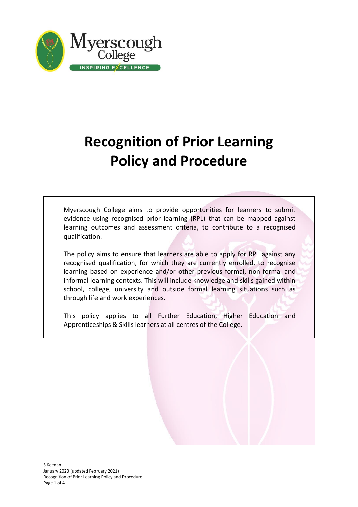

# **Recognition of Prior Learning Policy and Procedure**

Myerscough College aims to provide opportunities for learners to submit evidence using recognised prior learning (RPL) that can be mapped against learning outcomes and assessment criteria, to contribute to a recognised qualification.

The policy aims to ensure that learners are able to apply for RPL against any recognised qualification, for which they are currently enrolled, to recognise learning based on experience and/or other previous formal, non-formal and informal learning contexts. This will include knowledge and skills gained within school, college, university and outside formal learning situations such as through life and work experiences.

This policy applies to all Further Education, Higher Education and Apprenticeships & Skills learners at all centres of the College.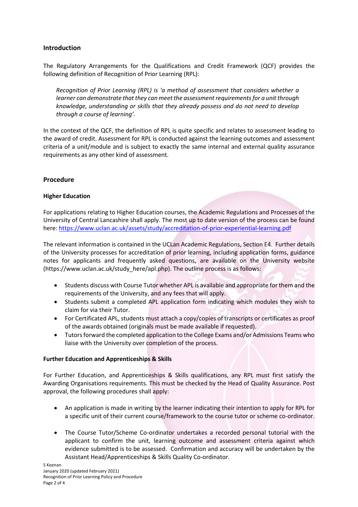# **Introduction**

The Regulatory Arrangements for the Qualifications and Credit Framework (QCF) provides the following definition of Recognition of Prior Learning (RPL):

*Recognition of Prior Learning (RPL) is 'a method of assessment that considers whether a learner can demonstrate that they can meet the assessment requirements for a unit through knowledge, understanding or skills that they already possess and do not need to develop through a course of learning'.*

In the context of the QCF, the definition of RPL is quite specific and relates to assessment leading to the award of credit. Assessment for RPL is conducted against the learning outcomes and assessment criteria of a unit/module and is subject to exactly the same internal and external quality assurance requirements as any other kind of assessment.

## **Procedure**

## **Higher Education**

For applications relating to Higher Education courses, the Academic Regulations and Processes of the University of Central Lancashire shall apply. The most up to date version of the process can be found here:<https://www.uclan.ac.uk/assets/study/accreditation-of-prior-experiential-learning.pdf>

The relevant information is contained in the UCLan Academic Regulations, Section E4. Further details of the University processes for accreditation of prior learning, including application forms, guidance notes for applicants and frequently asked questions, are available on the University website (https://www.uclan.ac.uk/study\_here/apl.php). The outline process is as follows:

- Students discuss with Course Tutor whether APL is available and appropriate for them and the requirements of the University, and any fees that will apply.
- Students submit a completed APL application form indicating which modules they wish to claim for via their Tutor.
- For Certificated APL, students must attach a copy/copies of transcripts or certificates as proof of the awards obtained (originals must be made available if requested).
- Tutors forward the completed application to the College Exams and/or Admissions Teams who liaise with the University over completion of the process.

### **Further Education and Apprenticeships & Skills**

For Further Education, and Apprenticeships & Skills qualifications, any RPL must first satisfy the Awarding Organisations requirements. This must be checked by the Head of Quality Assurance. Post approval, the following procedures shall apply:

- An application is made in writing by the learner indicating their intention to apply for RPL for a specific unit of their current course/framework to the course tutor or scheme co-ordinator.
- The Course Tutor/Scheme Co-ordinator undertakes a recorded personal tutorial with the applicant to confirm the unit, learning outcome and assessment criteria against which evidence submitted is to be assessed. Confirmation and accuracy will be undertaken by the Assistant Head/Apprenticeships & Skills Quality Co-ordinator.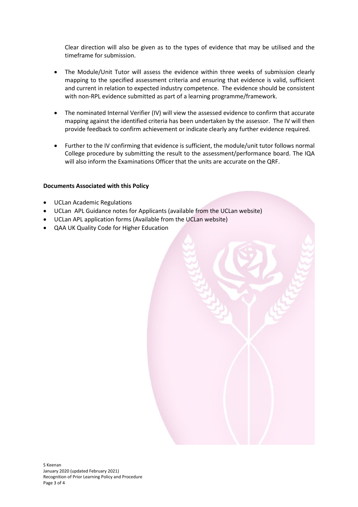Clear direction will also be given as to the types of evidence that may be utilised and the timeframe for submission.

- The Module/Unit Tutor will assess the evidence within three weeks of submission clearly mapping to the specified assessment criteria and ensuring that evidence is valid, sufficient and current in relation to expected industry competence. The evidence should be consistent with non-RPL evidence submitted as part of a learning programme/framework.
- The nominated Internal Verifier (IV) will view the assessed evidence to confirm that accurate mapping against the identified criteria has been undertaken by the assessor. The IV will then provide feedback to confirm achievement or indicate clearly any further evidence required.
- Further to the IV confirming that evidence is sufficient, the module/unit tutor follows normal College procedure by submitting the result to the assessment/performance board. The IQA will also inform the Examinations Officer that the units are accurate on the QRF.

### **Documents Associated with this Policy**

- UCLan Academic Regulations
- UCLan APL Guidance notes for Applicants (available from the UCLan website)
- UCLan APL application forms (Available from the UCLan website)
- QAA UK Quality Code for Higher Education